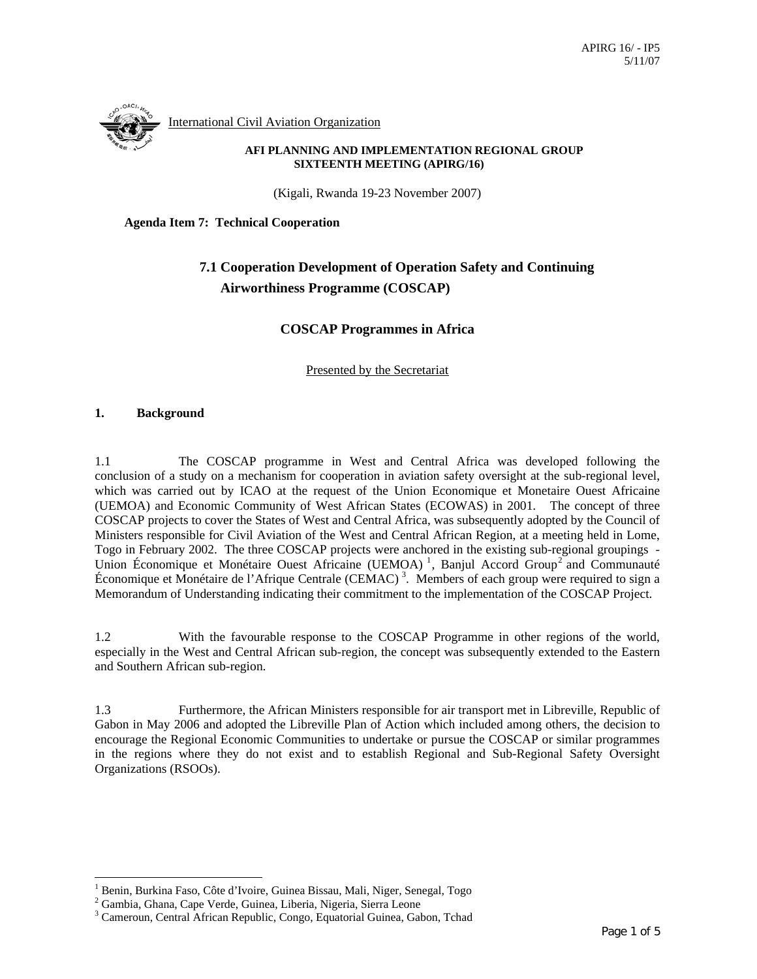International Civil Aviation Organization

#### **AFI PLANNING AND IMPLEMENTATION REGIONAL GROUP SIXTEENTH MEETING (APIRG/16)**

(Kigali, Rwanda 19-23 November 2007)

**Agenda Item 7: Technical Cooperation** 

# **7.1 Cooperation Development of Operation Safety and Continuing Airworthiness Programme (COSCAP)**

### **COSCAP Programmes in Africa**

Presented by the Secretariat

#### **1. Background**

 $\overline{a}$ 

1.1 The COSCAP programme in West and Central Africa was developed following the conclusion of a study on a mechanism for cooperation in aviation safety oversight at the sub-regional level, which was carried out by ICAO at the request of the Union Economique et Monetaire Ouest Africaine (UEMOA) and Economic Community of West African States (ECOWAS) in 2001. The concept of three COSCAP projects to cover the States of West and Central Africa, was subsequently adopted by the Council of Ministers responsible for Civil Aviation of the West and Central African Region, at a meeting held in Lome, Togo in February 2002. The three COSCAP projects were anchored in the existing sub-regional groupings - Union Économique et Monétaire Ouest Africaine (UEMOA)<sup>1</sup>, Banjul Accord Group<sup>2</sup> and Communauté Économique et Monétaire de l'Afrique Centrale (CEMAC) 3 . Members of each group were required to sign a Memorandum of Understanding indicating their commitment to the implementation of the COSCAP Project.

1.2 With the favourable response to the COSCAP Programme in other regions of the world, especially in the West and Central African sub-region, the concept was subsequently extended to the Eastern and Southern African sub-region.

1.3 Furthermore, the African Ministers responsible for air transport met in Libreville, Republic of Gabon in May 2006 and adopted the Libreville Plan of Action which included among others, the decision to encourage the Regional Economic Communities to undertake or pursue the COSCAP or similar programmes in the regions where they do not exist and to establish Regional and Sub-Regional Safety Oversight Organizations (RSOOs).

<sup>&</sup>lt;sup>1</sup> Benin, Burkina Faso, Côte d'Ivoire, Guinea Bissau, Mali, Niger, Senegal, Togo

<sup>2</sup> Gambia, Ghana, Cape Verde, Guinea, Liberia, Nigeria, Sierra Leone

<sup>&</sup>lt;sup>3</sup> Cameroun, Central African Republic, Congo, Equatorial Guinea, Gabon, Tchad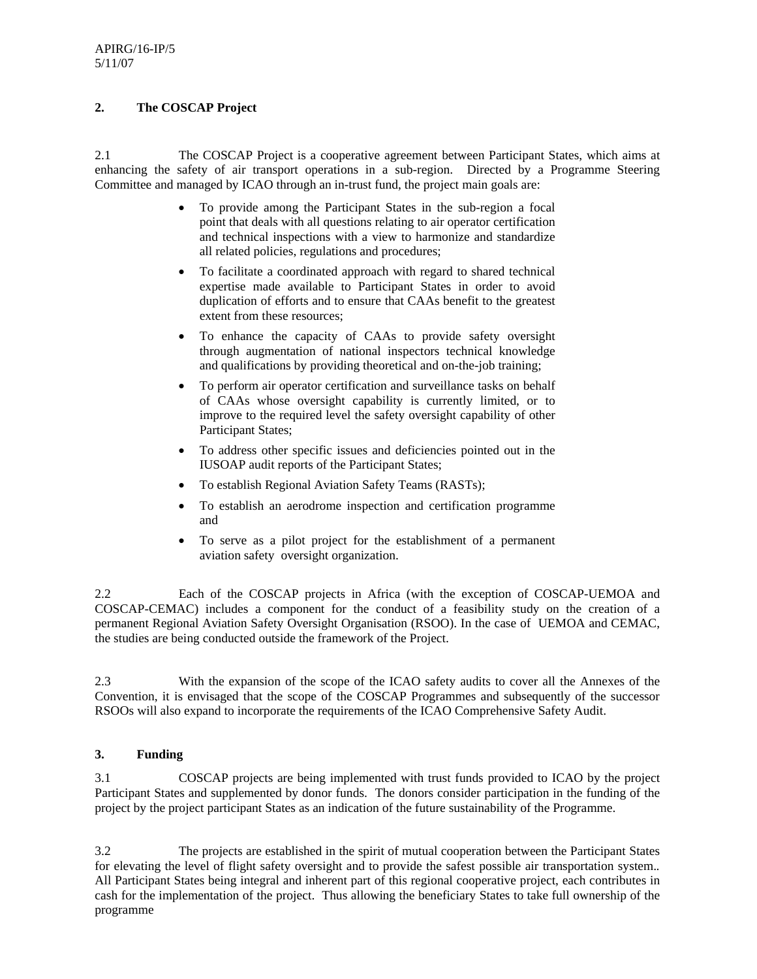## **2. The COSCAP Project**

2.1 The COSCAP Project is a cooperative agreement between Participant States, which aims at enhancing the safety of air transport operations in a sub-region. Directed by a Programme Steering Committee and managed by ICAO through an in-trust fund, the project main goals are:

- To provide among the Participant States in the sub-region a focal point that deals with all questions relating to air operator certification and technical inspections with a view to harmonize and standardize all related policies, regulations and procedures;
- To facilitate a coordinated approach with regard to shared technical expertise made available to Participant States in order to avoid duplication of efforts and to ensure that CAAs benefit to the greatest extent from these resources;
- To enhance the capacity of CAAs to provide safety oversight through augmentation of national inspectors technical knowledge and qualifications by providing theoretical and on-the-job training;
- To perform air operator certification and surveillance tasks on behalf of CAAs whose oversight capability is currently limited, or to improve to the required level the safety oversight capability of other Participant States;
- To address other specific issues and deficiencies pointed out in the IUSOAP audit reports of the Participant States;
- To establish Regional Aviation Safety Teams (RASTs);
- To establish an aerodrome inspection and certification programme and
- To serve as a pilot project for the establishment of a permanent aviation safety oversight organization.

2.2 Each of the COSCAP projects in Africa (with the exception of COSCAP-UEMOA and COSCAP-CEMAC) includes a component for the conduct of a feasibility study on the creation of a permanent Regional Aviation Safety Oversight Organisation (RSOO). In the case of UEMOA and CEMAC, the studies are being conducted outside the framework of the Project.

2.3 With the expansion of the scope of the ICAO safety audits to cover all the Annexes of the Convention, it is envisaged that the scope of the COSCAP Programmes and subsequently of the successor RSOOs will also expand to incorporate the requirements of the ICAO Comprehensive Safety Audit.

## **3. Funding**

3.1 COSCAP projects are being implemented with trust funds provided to ICAO by the project Participant States and supplemented by donor funds. The donors consider participation in the funding of the project by the project participant States as an indication of the future sustainability of the Programme.

3.2 The projects are established in the spirit of mutual cooperation between the Participant States for elevating the level of flight safety oversight and to provide the safest possible air transportation system.*.* All Participant States being integral and inherent part of this regional cooperative project, each contributes in cash for the implementation of the project. Thus allowing the beneficiary States to take full ownership of the programme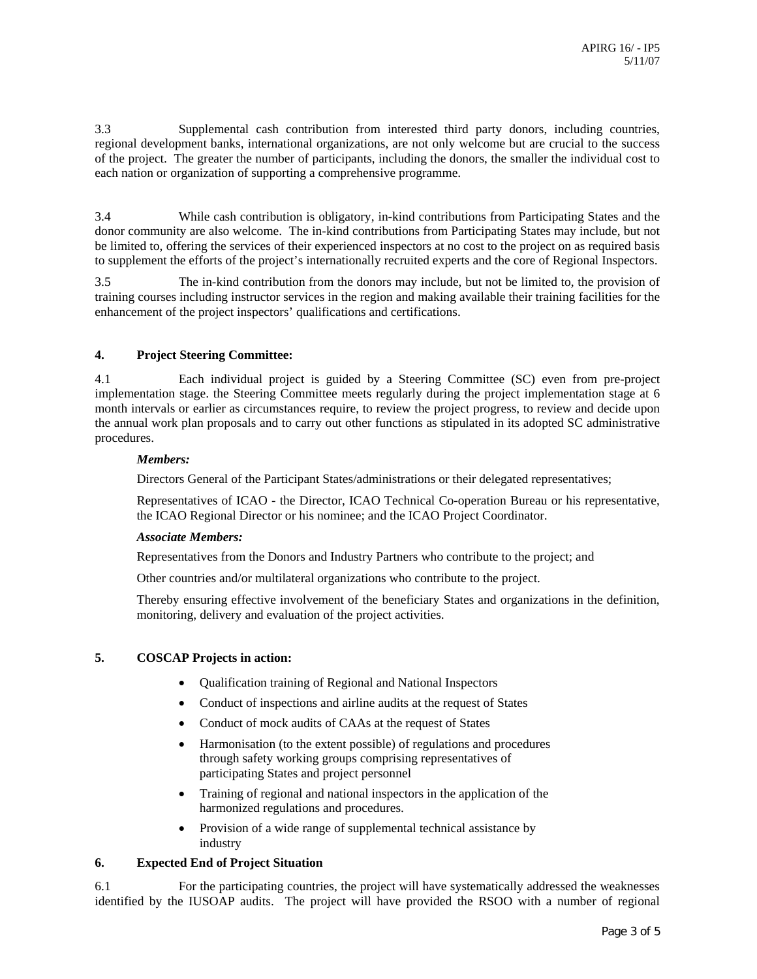3.3 Supplemental cash contribution from interested third party donors, including countries, regional development banks, international organizations, are not only welcome but are crucial to the success of the project. The greater the number of participants, including the donors, the smaller the individual cost to each nation or organization of supporting a comprehensive programme.

3.4 While cash contribution is obligatory, in-kind contributions from Participating States and the donor community are also welcome. The in-kind contributions from Participating States may include, but not be limited to, offering the services of their experienced inspectors at no cost to the project on as required basis to supplement the efforts of the project's internationally recruited experts and the core of Regional Inspectors.

3.5 The in-kind contribution from the donors may include, but not be limited to, the provision of training courses including instructor services in the region and making available their training facilities for the enhancement of the project inspectors' qualifications and certifications.

#### **4. Project Steering Committee:**

4.1 Each individual project is guided by a Steering Committee (SC) even from pre-project implementation stage. the Steering Committee meets regularly during the project implementation stage at 6 month intervals or earlier as circumstances require, to review the project progress, to review and decide upon the annual work plan proposals and to carry out other functions as stipulated in its adopted SC administrative procedures.

#### *Members:*

Directors General of the Participant States/administrations or their delegated representatives;

Representatives of ICAO - the Director, ICAO Technical Co-operation Bureau or his representative, the ICAO Regional Director or his nominee; and the ICAO Project Coordinator.

#### *Associate Members:*

Representatives from the Donors and Industry Partners who contribute to the project; and

Other countries and/or multilateral organizations who contribute to the project.

Thereby ensuring effective involvement of the beneficiary States and organizations in the definition, monitoring, delivery and evaluation of the project activities.

#### **5. COSCAP Projects in action:**

- Qualification training of Regional and National Inspectors
- Conduct of inspections and airline audits at the request of States
- Conduct of mock audits of CAAs at the request of States
- Harmonisation (to the extent possible) of regulations and procedures through safety working groups comprising representatives of participating States and project personnel
- Training of regional and national inspectors in the application of the harmonized regulations and procedures.
- Provision of a wide range of supplemental technical assistance by industry

#### **6. Expected End of Project Situation**

6.1 For the participating countries, the project will have systematically addressed the weaknesses identified by the IUSOAP audits. The project will have provided the RSOO with a number of regional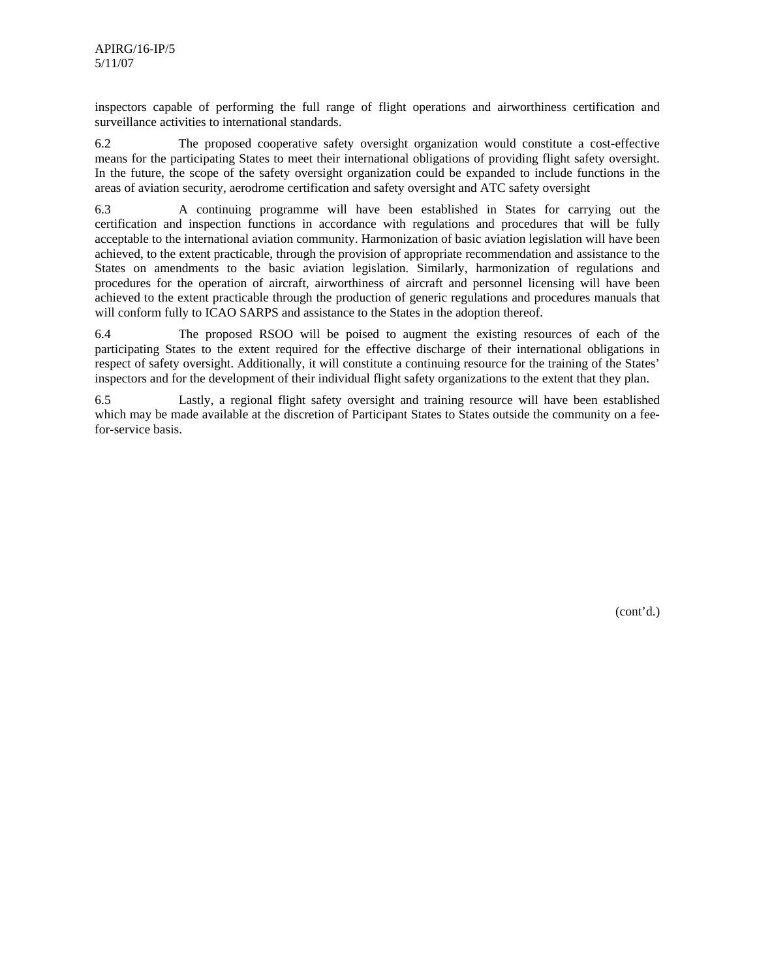inspectors capable of performing the full range of flight operations and airworthiness certification and surveillance activities to international standards.

6.2 The proposed cooperative safety oversight organization would constitute a cost-effective means for the participating States to meet their international obligations of providing flight safety oversight. In the future, the scope of the safety oversight organization could be expanded to include functions in the areas of aviation security, aerodrome certification and safety oversight and ATC safety oversight

6.3 A continuing programme will have been established in States for carrying out the certification and inspection functions in accordance with regulations and procedures that will be fully acceptable to the international aviation community. Harmonization of basic aviation legislation will have been achieved, to the extent practicable, through the provision of appropriate recommendation and assistance to the States on amendments to the basic aviation legislation. Similarly, harmonization of regulations and procedures for the operation of aircraft, airworthiness of aircraft and personnel licensing will have been achieved to the extent practicable through the production of generic regulations and procedures manuals that will conform fully to ICAO SARPS and assistance to the States in the adoption thereof.

6.4 The proposed RSOO will be poised to augment the existing resources of each of the participating States to the extent required for the effective discharge of their international obligations in respect of safety oversight. Additionally, it will constitute a continuing resource for the training of the States' inspectors and for the development of their individual flight safety organizations to the extent that they plan.

6.5 Lastly, a regional flight safety oversight and training resource will have been established which may be made available at the discretion of Participant States to States outside the community on a feefor-service basis.

(cont'd.)